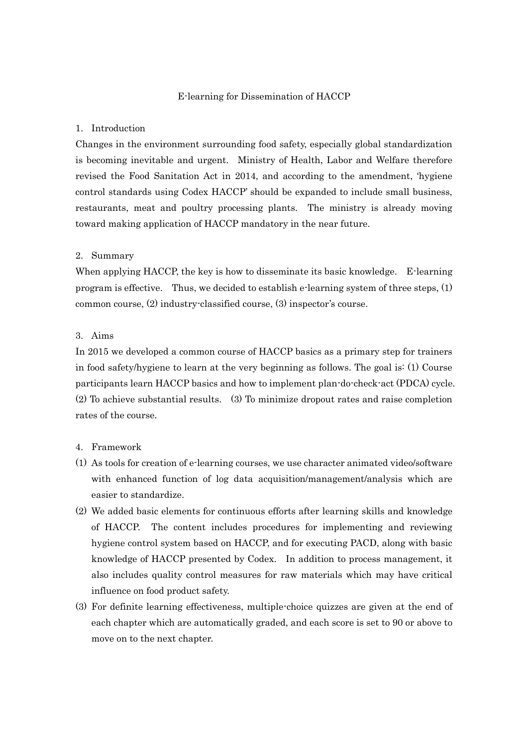# E-learning for Dissemination of HACCP

#### 1. Introduction

Changes in the environment surrounding food safety, especially global standardization is becoming inevitable and urgent. Ministry of Health, Labor and Welfare therefore revised the Food Sanitation Act in 2014, and according to the amendment, 'hygiene control standards using Codex HACCP' should be expanded to include small business, restaurants, meat and poultry processing plants. The ministry is already moving toward making application of HACCP mandatory in the near future.

### 2. Summary

When applying HACCP, the key is how to disseminate its basic knowledge. E-learning program is effective. Thus, we decided to establish e-learning system of three steps, (1) common course, (2) industry-classified course, (3) inspector's course.

# 3. Aims

In 2015 we developed a common course of HACCP basics as a primary step for trainers in food safety/hygiene to learn at the very beginning as follows. The goal is: (1) Course participants learn HACCP basics and how to implement plan-do-check-act (PDCA) cycle. (2) To achieve substantial results. (3) To minimize dropout rates and raise completion rates of the course.

#### 4. Framework

- (1) As tools for creation of e-learning courses, we use character animated video/software with enhanced function of log data acquisition/management/analysis which are easier to standardize.
- (2) We added basic elements for continuous efforts after learning skills and knowledge of HACCP. The content includes procedures for implementing and reviewing hygiene control system based on HACCP, and for executing PACD, along with basic knowledge of HACCP presented by Codex. In addition to process management, it also includes quality control measures for raw materials which may have critical influence on food product safety.
- (3) For definite learning effectiveness, multiple-choice quizzes are given at the end of each chapter which are automatically graded, and each score is set to 90 or above to move on to the next chapter.